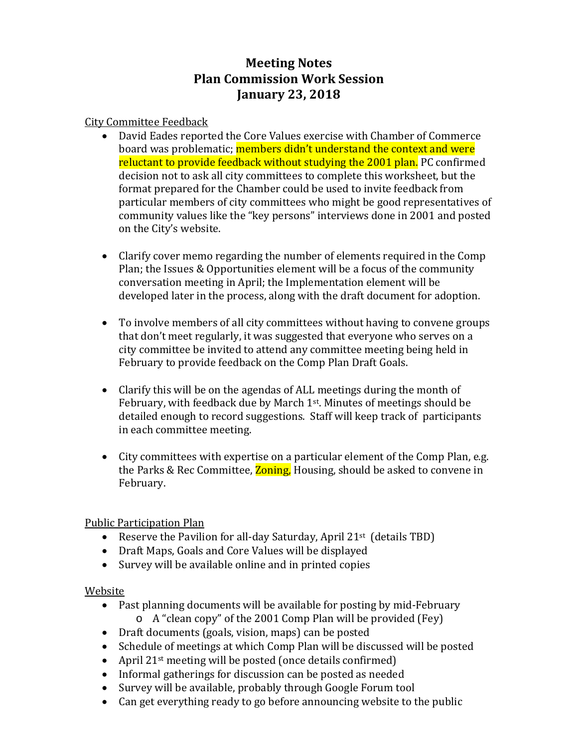# **Meeting Notes Plan Commission Work Session January 23, 2018**

## City Committee Feedback

- David Eades reported the Core Values exercise with Chamber of Commerce board was problematic; members didn't understand the context and were reluctant to provide feedback without studying the 2001 plan. PC confirmed decision not to ask all city committees to complete this worksheet, but the format prepared for the Chamber could be used to invite feedback from particular members of city committees who might be good representatives of community values like the "key persons" interviews done in 2001 and posted on the City's website.
- Clarify cover memo regarding the number of elements required in the Comp Plan; the Issues & Opportunities element will be a focus of the community conversation meeting in April; the Implementation element will be developed later in the process, along with the draft document for adoption.
- To involve members of all city committees without having to convene groups that don't meet regularly, it was suggested that everyone who serves on a city committee be invited to attend any committee meeting being held in February to provide feedback on the Comp Plan Draft Goals.
- Clarify this will be on the agendas of ALL meetings during the month of February, with feedback due by March 1<sup>st</sup>. Minutes of meetings should be detailed enough to record suggestions. Staff will keep track of participants in each committee meeting.
- City committees with expertise on a particular element of the Comp Plan, e.g. the Parks & Rec Committee, **Zoning**, Housing, should be asked to convene in February.

# Public Participation Plan

- Reserve the Pavilion for all-day Saturday, April 21<sup>st</sup> (details TBD)
- Draft Maps, Goals and Core Values will be displayed
- Survey will be available online and in printed copies

#### Website

- Past planning documents will be available for posting by mid-February
	- o A "clean copy" of the 2001 Comp Plan will be provided (Fey)
- Draft documents (goals, vision, maps) can be posted
- Schedule of meetings at which Comp Plan will be discussed will be posted
- April 21<sup>st</sup> meeting will be posted (once details confirmed)
- Informal gatherings for discussion can be posted as needed
- Survey will be available, probably through Google Forum tool
- Can get everything ready to go before announcing website to the public